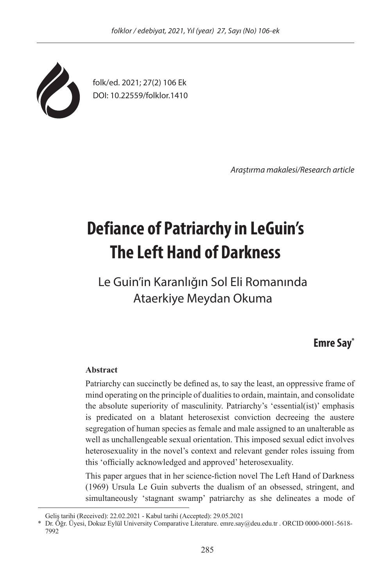

folk/ed. 2021; 27(2) 106 Ek DOI: 10.22559/folklor.1410

*Araştırma makalesi/Research article*

# **Defiance of Patriarchy in LeGuin's The Left Hand of Darkness**

Le Guin'in Karanlığın Sol Eli Romanında Ataerkiye Meydan Okuma

# **Emre Say\***

#### **Abstract**

Patriarchy can succinctly be defined as, to say the least, an oppressive frame of mind operating on the principle of dualities to ordain, maintain, and consolidate the absolute superiority of masculinity. Patriarchy's 'essential(ist)' emphasis is predicated on a blatant heterosexist conviction decreeing the austere segregation of human species as female and male assigned to an unalterable as well as unchallengeable sexual orientation. This imposed sexual edict involves heterosexuality in the novel's context and relevant gender roles issuing from this 'officially acknowledged and approved' heterosexuality.

This paper argues that in her science-fiction novel The Left Hand of Darkness (1969) Ursula Le Guin subverts the dualism of an obsessed, stringent, and simultaneously 'stagnant swamp' patriarchy as she delineates a mode of

Geliş tarihi (Received): 22.02.2021 - Kabul tarihi (Accepted): 29.05.2021

<sup>\*</sup> Dr. Öğr. Üyesi, Dokuz Eylül University Comparative Literature. emre.say@deu.edu.tr . ORCID 0000-0001-5618- 7992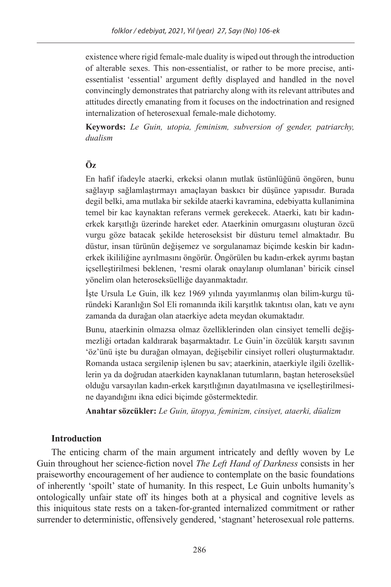existence where rigid female-male duality is wiped out through the introduction of alterable sexes. This non-essentialist, or rather to be more precise, antiessentialist 'essential' argument deftly displayed and handled in the novel convincingly demonstrates that patriarchy along with its relevant attributes and attitudes directly emanating from it focuses on the indoctrination and resigned internalization of heterosexual female-male dichotomy.

**Keywords:** *Le Guin, utopia, feminism, subversion of gender, patriarchy, dualism*

## **Öz**

En hafif ifadeyle ataerki, erkeksi olanın mutlak üstünlüğünü öngören, bunu sağlayıp sağlamlaştırmayı amaçlayan baskıcı bir düşünce yapısıdır. Burada degil belki, ama mutlaka bir sekilde ataerki kavramina, edebiyatta kullanimina temel bir kac kaynaktan referans vermek gerekecek. Ataerki, katı bir kadınerkek karşıtlığı üzerinde hareket eder. Ataerkinin omurgasını oluşturan özcü vurgu göze batacak şekilde heteroseksist bir düsturu temel almaktadır. Bu düstur, insan türünün değişemez ve sorgulanamaz biçimde keskin bir kadınerkek ikililiğine ayrılmasını öngörür. Öngörülen bu kadın-erkek ayrımı baştan içselleştirilmesi beklenen, 'resmi olarak onaylanıp olumlanan' biricik cinsel yönelim olan heteroseksüelliğe dayanmaktadır.

İşte Ursula Le Guin, ilk kez 1969 yılında yayımlanmış olan bilim-kurgu türündeki Karanlığın Sol Eli romanında ikili karşıtlık takıntısı olan, katı ve aynı zamanda da durağan olan ataerkiye adeta meydan okumaktadır.

Bunu, ataerkinin olmazsa olmaz özelliklerinden olan cinsiyet temelli değişmezliği ortadan kaldırarak başarmaktadır. Le Guin'in özcülük karşıtı savının 'öz'ünü işte bu durağan olmayan, değişebilir cinsiyet rolleri oluşturmaktadır. Romanda ustaca sergilenip işlenen bu sav; ataerkinin, ataerkiyle ilgili özelliklerin ya da doğrudan ataerkiden kaynaklanan tutumların, baştan heteroseksüel olduğu varsayılan kadın-erkek karşıtlığının dayatılmasına ve içselleştirilmesine dayandığını ikna edici biçimde göstermektedir.

**Anahtar sözcükler:** *Le Guin, ütopya, feminizm, cinsiyet, ataerki, düalizm*

#### **Introduction**

The enticing charm of the main argument intricately and deftly woven by Le Guin throughout her science-fiction novel *The Left Hand of Darkness* consists in her praiseworthy encouragement of her audience to contemplate on the basic foundations of inherently 'spoilt' state of humanity. In this respect, Le Guin unbolts humanity's ontologically unfair state off its hinges both at a physical and cognitive levels as this iniquitous state rests on a taken-for-granted internalized commitment or rather surrender to deterministic, offensively gendered, 'stagnant' heterosexual role patterns.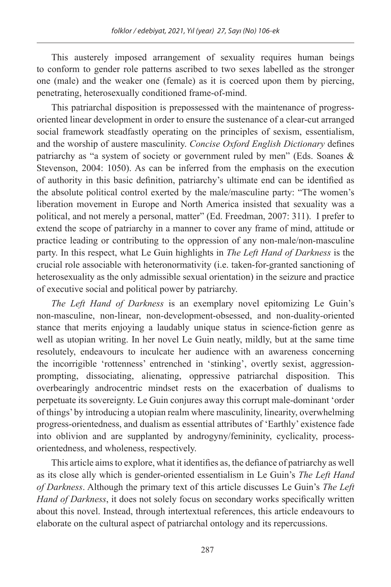This austerely imposed arrangement of sexuality requires human beings to conform to gender role patterns ascribed to two sexes labelled as the stronger one (male) and the weaker one (female) as it is coerced upon them by piercing, penetrating, heterosexually conditioned frame-of-mind.

This patriarchal disposition is prepossessed with the maintenance of progressoriented linear development in order to ensure the sustenance of a clear-cut arranged social framework steadfastly operating on the principles of sexism, essentialism, and the worship of austere masculinity. *Concise Oxford English Dictionary* defines patriarchy as "a system of society or government ruled by men" (Eds. Soanes & Stevenson, 2004: 1050). As can be inferred from the emphasis on the execution of authority in this basic definition, patriarchy's ultimate end can be identified as the absolute political control exerted by the male/masculine party: "The women's liberation movement in Europe and North America insisted that sexuality was a political, and not merely a personal, matter" (Ed. Freedman, 2007: 311). I prefer to extend the scope of patriarchy in a manner to cover any frame of mind, attitude or practice leading or contributing to the oppression of any non-male/non-masculine party. In this respect, what Le Guin highlights in *The Left Hand of Darkness* is the crucial role associable with heteronormativity (i.e. taken-for-granted sanctioning of heterosexuality as the only admissible sexual orientation) in the seizure and practice of executive social and political power by patriarchy.

*The Left Hand of Darkness* is an exemplary novel epitomizing Le Guin's non-masculine, non-linear, non-development-obsessed, and non-duality-oriented stance that merits enjoying a laudably unique status in science-fiction genre as well as utopian writing. In her novel Le Guin neatly, mildly, but at the same time resolutely, endeavours to inculcate her audience with an awareness concerning the incorrigible 'rottenness' entrenched in 'stinking', overtly sexist, aggressionprompting, dissociating, alienating, oppressive patriarchal disposition. This overbearingly androcentric mindset rests on the exacerbation of dualisms to perpetuate its sovereignty. Le Guin conjures away this corrupt male-dominant 'order of things' by introducing a utopian realm where masculinity, linearity, overwhelming progress-orientedness, and dualism as essential attributes of 'Earthly' existence fade into oblivion and are supplanted by androgyny/femininity, cyclicality, processorientedness, and wholeness, respectively.

This article aims to explore, what it identifies as, the defiance of patriarchy as well as its close ally which is gender-oriented essentialism in Le Guin's *The Left Hand of Darkness*. Although the primary text of this article discusses Le Guin's *The Left Hand of Darkness*, it does not solely focus on secondary works specifically written about this novel. Instead, through intertextual references, this article endeavours to elaborate on the cultural aspect of patriarchal ontology and its repercussions.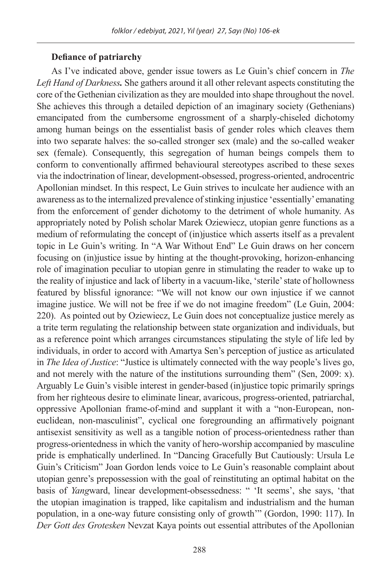#### **Defiance of patriarchy**

As I've indicated above, gender issue towers as Le Guin's chief concern in *The Left Hand of Darkness.* She gathers around it all other relevant aspects constituting the core of the Gethenian civilization as they are moulded into shape throughout the novel. She achieves this through a detailed depiction of an imaginary society (Gethenians) emancipated from the cumbersome engrossment of a sharply-chiseled dichotomy among human beings on the essentialist basis of gender roles which cleaves them into two separate halves: the so-called stronger sex (male) and the so-called weaker sex (female). Consequently, this segregation of human beings compels them to conform to conventionally affirmed behavioural stereotypes ascribed to these sexes via the indoctrination of linear, development-obsessed, progress-oriented, androcentric Apollonian mindset. In this respect, Le Guin strives to inculcate her audience with an awareness as to the internalized prevalence of stinking injustice 'essentially' emanating from the enforcement of gender dichotomy to the detriment of whole humanity. As appropriately noted by Polish scholar Marek Oziewiecz, utopian genre functions as a medium of reformulating the concept of (in)justice which asserts itself as a prevalent topic in Le Guin's writing. In "A War Without End" Le Guin draws on her concern focusing on (in)justice issue by hinting at the thought-provoking, horizon-enhancing role of imagination peculiar to utopian genre in stimulating the reader to wake up to the reality of injustice and lack of liberty in a vacuum-like, 'sterile' state of hollowness featured by blissful ignorance: "We will not know our own injustice if we cannot imagine justice. We will not be free if we do not imagine freedom" (Le Guin, 2004: 220). As pointed out by Oziewiecz, Le Guin does not conceptualize justice merely as a trite term regulating the relationship between state organization and individuals, but as a reference point which arranges circumstances stipulating the style of life led by individuals, in order to accord with Amartya Sen's perception of justice as articulated in *The Idea of Justice*: "Justice is ultimately connected with the way people's lives go, and not merely with the nature of the institutions surrounding them" (Sen, 2009: x). Arguably Le Guin's visible interest in gender-based (in)justice topic primarily springs from her righteous desire to eliminate linear, avaricous, progress-oriented, patriarchal, oppressive Apollonian frame-of-mind and supplant it with a "non-European, noneuclidean, non-masculinist", cyclical one foregrounding an affirmatively poignant antisexist sensitivity as well as a tangible notion of process-orientedness rather than progress-orientedness in which the vanity of hero-worship accompanied by masculine pride is emphatically underlined. In "Dancing Gracefully But Cautiously: Ursula Le Guin's Criticism" Joan Gordon lends voice to Le Guin's reasonable complaint about utopian genre's prepossession with the goal of reinstituting an optimal habitat on the basis of *Yang*ward, linear development-obsessedness: " 'It seems', she says, 'that the utopian imagination is trapped, like capitalism and industrialism and the human population, in a one-way future consisting only of growth'" (Gordon, 1990: 117). In *Der Gott des Grotesken* Nevzat Kaya points out essential attributes of the Apollonian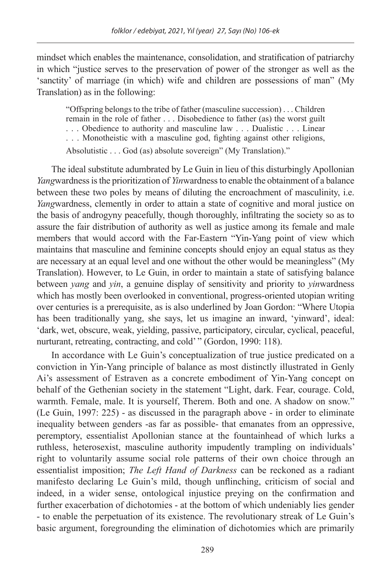mindset which enables the maintenance, consolidation, and stratification of patriarchy in which "justice serves to the preservation of power of the stronger as well as the 'sanctity' of marriage (in which) wife and children are possessions of man" (My Translation) as in the following:

"Offspring belongs to the tribe of father (masculine succession) . . . Children remain in the role of father . . . Disobedience to father (as) the worst guilt . . . Obedience to authority and masculine law . . . Dualistic . . . Linear . . . Monotheistic with a masculine god, fighting against other religions, Absolutistic . . . God (as) absolute sovereign" (My Translation)."

The ideal substitute adumbrated by Le Guin in lieu of this disturbingly Apollonian *Yangwardness is the prioritization of <i>Yinwardness* to enable the obtainment of a balance between these two poles by means of diluting the encroachment of masculinity, i.e. *Yang*wardness, clemently in order to attain a state of cognitive and moral justice on the basis of androgyny peacefully, though thoroughly, infiltrating the society so as to assure the fair distribution of authority as well as justice among its female and male members that would accord with the Far-Eastern "Yin-Yang point of view which maintains that masculine and feminine concepts should enjoy an equal status as they are necessary at an equal level and one without the other would be meaningless" (My Translation). However, to Le Guin, in order to maintain a state of satisfying balance between *yang* and *yin*, a genuine display of sensitivity and priority to *yin*wardness which has mostly been overlooked in conventional, progress-oriented utopian writing over centuries is a prerequisite, as is also underlined by Joan Gordon: "Where Utopia has been traditionally yang, she says, let us imagine an inward, 'yinward', ideal: 'dark, wet, obscure, weak, yielding, passive, participatory, circular, cyclical, peaceful, nurturant, retreating, contracting, and cold' " (Gordon, 1990: 118).

In accordance with Le Guin's conceptualization of true justice predicated on a conviction in Yin-Yang principle of balance as most distinctly illustrated in Genly Ai's assessment of Estraven as a concrete embodiment of Yin-Yang concept on behalf of the Gethenian society in the statement "Light, dark. Fear, courage. Cold, warmth. Female, male. It is yourself, Therem. Both and one. A shadow on snow." (Le Guin, 1997: 225) - as discussed in the paragraph above - in order to eliminate inequality between genders -as far as possible- that emanates from an oppressive, peremptory, essentialist Apollonian stance at the fountainhead of which lurks a ruthless, heterosexist, masculine authority impudently trampling on individuals' right to voluntarily assume social role patterns of their own choice through an essentialist imposition; *The Left Hand of Darkness* can be reckoned as a radiant manifesto declaring Le Guin's mild, though unflinching, criticism of social and indeed, in a wider sense, ontological injustice preying on the confirmation and further exacerbation of dichotomies - at the bottom of which undeniably lies gender - to enable the perpetuation of its existence. The revolutionary streak of Le Guin's basic argument, foregrounding the elimination of dichotomies which are primarily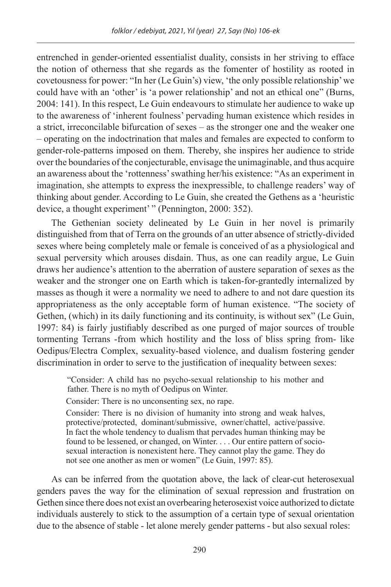entrenched in gender-oriented essentialist duality, consists in her striving to efface the notion of otherness that she regards as the fomenter of hostility as rooted in covetousness for power: "In her (Le Guin's) view, 'the only possible relationship' we could have with an 'other' is 'a power relationship' and not an ethical one" (Burns, 2004: 141). In this respect, Le Guin endeavours to stimulate her audience to wake up to the awareness of 'inherent foulness' pervading human existence which resides in a strict, irreconcilable bifurcation of sexes – as the stronger one and the weaker one – operating on the indoctrination that males and females are expected to conform to gender-role-patterns imposed on them. Thereby, she inspires her audience to stride over the boundaries of the conjecturable, envisage the unimaginable, and thus acquire an awareness about the 'rottenness' swathing her/his existence: "As an experiment in imagination, she attempts to express the inexpressible, to challenge readers' way of thinking about gender. According to Le Guin, she created the Gethens as a 'heuristic device, a thought experiment' " (Pennington, 2000: 352).

The Gethenian society delineated by Le Guin in her novel is primarily distinguished from that of Terra on the grounds of an utter absence of strictly-divided sexes where being completely male or female is conceived of as a physiological and sexual perversity which arouses disdain. Thus, as one can readily argue, Le Guin draws her audience's attention to the aberration of austere separation of sexes as the weaker and the stronger one on Earth which is taken-for-grantedly internalized by masses as though it were a normality we need to adhere to and not dare question its appropriateness as the only acceptable form of human existence. "The society of Gethen, (which) in its daily functioning and its continuity, is without sex" (Le Guin, 1997: 84) is fairly justifiably described as one purged of major sources of trouble tormenting Terrans -from which hostility and the loss of bliss spring from- like Oedipus/Electra Complex, sexuality-based violence, and dualism fostering gender discrimination in order to serve to the justification of inequality between sexes:

"Consider: A child has no psycho-sexual relationship to his mother and father. There is no myth of Oedipus on Winter.

Consider: There is no unconsenting sex, no rape.

Consider: There is no division of humanity into strong and weak halves, protective/protected, dominant/submissive, owner/chattel, active/passive. In fact the whole tendency to dualism that pervades human thinking may be found to be lessened, or changed, on Winter. . . . Our entire pattern of sociosexual interaction is nonexistent here. They cannot play the game. They do not see one another as men or women" (Le Guin, 1997: 85).

As can be inferred from the quotation above, the lack of clear-cut heterosexual genders paves the way for the elimination of sexual repression and frustration on Gethen since there does not exist an overbearing heterosexist voice authorized to dictate individuals austerely to stick to the assumption of a certain type of sexual orientation due to the absence of stable - let alone merely gender patterns - but also sexual roles: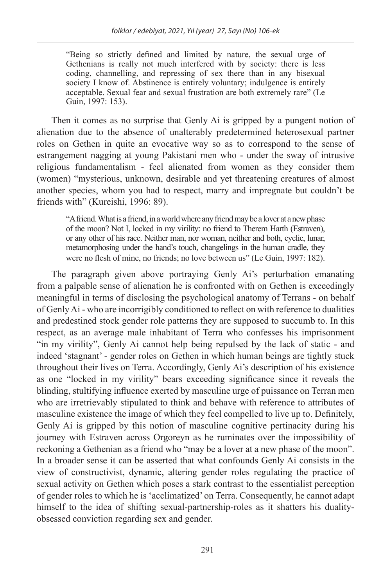"Being so strictly defined and limited by nature, the sexual urge of Gethenians is really not much interfered with by society: there is less coding, channelling, and repressing of sex there than in any bisexual society I know of. Abstinence is entirely voluntary; indulgence is entirely acceptable. Sexual fear and sexual frustration are both extremely rare" (Le Guin, 1997: 153).

Then it comes as no surprise that Genly Ai is gripped by a pungent notion of alienation due to the absence of unalterably predetermined heterosexual partner roles on Gethen in quite an evocative way so as to correspond to the sense of estrangement nagging at young Pakistani men who - under the sway of intrusive religious fundamentalism - feel alienated from women as they consider them (women) "mysterious, unknown, desirable and yet threatening creatures of almost another species, whom you had to respect, marry and impregnate but couldn't be friends with" (Kureishi, 1996: 89).

"A friend. What is a friend, in a world where any friend may be a lover at a new phase of the moon? Not I, locked in my virility: no friend to Therem Harth (Estraven), or any other of his race. Neither man, nor woman, neither and both, cyclic, lunar, metamorphosing under the hand's touch, changelings in the human cradle, they were no flesh of mine, no friends; no love between us" (Le Guin, 1997: 182).

The paragraph given above portraying Genly Ai's perturbation emanating from a palpable sense of alienation he is confronted with on Gethen is exceedingly meaningful in terms of disclosing the psychological anatomy of Terrans - on behalf of Genly Ai - who are incorrigibly conditioned to reflect on with reference to dualities and predestined stock gender role patterns they are supposed to succumb to. In this respect, as an average male inhabitant of Terra who confesses his imprisonment "in my virility", Genly Ai cannot help being repulsed by the lack of static - and indeed 'stagnant' - gender roles on Gethen in which human beings are tightly stuck throughout their lives on Terra. Accordingly, Genly Ai's description of his existence as one "locked in my virility" bears exceeding significance since it reveals the blinding, stultifying influence exerted by masculine urge of puissance on Terran men who are irretrievably stipulated to think and behave with reference to attributes of masculine existence the image of which they feel compelled to live up to. Definitely, Genly Ai is gripped by this notion of masculine cognitive pertinacity during his journey with Estraven across Orgoreyn as he ruminates over the impossibility of reckoning a Gethenian as a friend who "may be a lover at a new phase of the moon". In a broader sense it can be asserted that what confounds Genly Ai consists in the view of constructivist, dynamic, altering gender roles regulating the practice of sexual activity on Gethen which poses a stark contrast to the essentialist perception of gender roles to which he is 'acclimatized' on Terra. Consequently, he cannot adapt himself to the idea of shifting sexual-partnership-roles as it shatters his dualityobsessed conviction regarding sex and gender.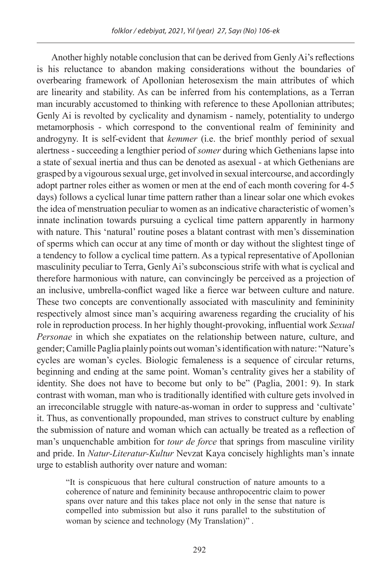Another highly notable conclusion that can be derived from Genly Ai's reflections is his reluctance to abandon making considerations without the boundaries of overbearing framework of Apollonian heterosexism the main attributes of which are linearity and stability. As can be inferred from his contemplations, as a Terran man incurably accustomed to thinking with reference to these Apollonian attributes; Genly Ai is revolted by cyclicality and dynamism - namely, potentiality to undergo metamorphosis - which correspond to the conventional realm of femininity and androgyny. It is self-evident that *kemmer* (i.e. the brief monthly period of sexual alertness - succeeding a lengthier period of *somer* during which Gethenians lapse into a state of sexual inertia and thus can be denoted as asexual - at which Gethenians are grasped by a vigourous sexual urge, get involved in sexual intercourse, and accordingly adopt partner roles either as women or men at the end of each month covering for 4-5 days) follows a cyclical lunar time pattern rather than a linear solar one which evokes the idea of menstruation peculiar to women as an indicative characteristic of women's innate inclination towards pursuing a cyclical time pattern apparently in harmony with nature. This 'natural' routine poses a blatant contrast with men's dissemination of sperms which can occur at any time of month or day without the slightest tinge of a tendency to follow a cyclical time pattern. As a typical representative of Apollonian masculinity peculiar to Terra, Genly Ai's subconscious strife with what is cyclical and therefore harmonious with nature, can convincingly be perceived as a projection of an inclusive, umbrella-conflict waged like a fierce war between culture and nature. These two concepts are conventionally associated with masculinity and femininity respectively almost since man's acquiring awareness regarding the cruciality of his role in reproduction process. In her highly thought-provoking, influential work *Sexual Personae* in which she expatiates on the relationship between nature, culture, and gender; Camille Paglia plainly points out woman's identification with nature: "Nature's cycles are woman's cycles. Biologic femaleness is a sequence of circular returns, beginning and ending at the same point. Woman's centrality gives her a stability of identity. She does not have to become but only to be" (Paglia, 2001: 9). In stark contrast with woman, man who is traditionally identified with culture gets involved in an irreconcilable struggle with nature-as-woman in order to suppress and 'cultivate' it. Thus, as conventionally propounded, man strives to construct culture by enabling the submission of nature and woman which can actually be treated as a reflection of man's unquenchable ambition for *tour de force* that springs from masculine virility and pride. In *Natur-Literatur-Kultur* Nevzat Kaya concisely highlights man's innate urge to establish authority over nature and woman:

"It is conspicuous that here cultural construction of nature amounts to a coherence of nature and femininity because anthropocentric claim to power spans over nature and this takes place not only in the sense that nature is compelled into submission but also it runs parallel to the substitution of woman by science and technology (My Translation)" .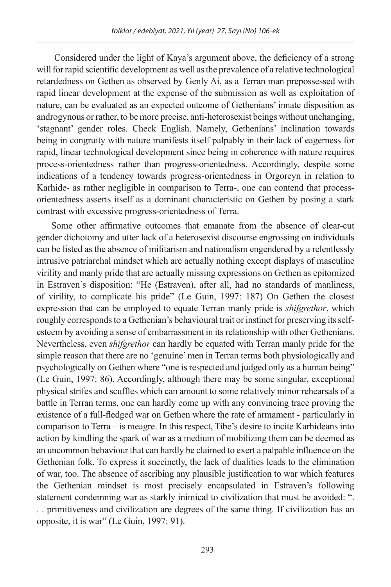Considered under the light of Kaya's argument above, the deficiency of a strong will for rapid scientific development as well as the prevalence of a relative technological retardedness on Gethen as observed by Genly Ai, as a Terran man prepossessed with rapid linear development at the expense of the submission as well as exploitation of nature, can be evaluated as an expected outcome of Gethenians' innate disposition as androgynous or rather, to be more precise, anti-heterosexist beings without unchanging, 'stagnant' gender roles. Check English. Namely, Gethenians' inclination towards being in congruity with nature manifests itself palpably in their lack of eagerness for rapid, linear technological development since being in coherence with nature requires process-orientedness rather than progress-orientedness. Accordingly, despite some indications of a tendency towards progress-orientedness in Orgoreyn in relation to Karhide- as rather negligible in comparison to Terra-, one can contend that processorientedness asserts itself as a dominant characteristic on Gethen by posing a stark contrast with excessive progress-orientedness of Terra.

Some other affirmative outcomes that emanate from the absence of clear-cut gender dichotomy and utter lack of a heterosexist discourse engrossing on individuals can be listed as the absence of militarism and nationalism engendered by a relentlessly intrusive patriarchal mindset which are actually nothing except displays of masculine virility and manly pride that are actually missing expressions on Gethen as epitomized in Estraven's disposition: "He (Estraven), after all, had no standards of manliness, of virility, to complicate his pride" (Le Guin, 1997: 187) On Gethen the closest expression that can be employed to equate Terran manly pride is *shifgrethor*, which roughly corresponds to a Gethenian's behavioural trait or instinct for preserving its selfesteem by avoiding a sense of embarrassment in its relationship with other Gethenians. Nevertheless, even *shifgrethor* can hardly be equated with Terran manly pride for the simple reason that there are no 'genuine' men in Terran terms both physiologically and psychologically on Gethen where "one is respected and judged only as a human being" (Le Guin, 1997: 86). Accordingly, although there may be some singular, exceptional physical strifes and scuffles which can amount to some relatively minor rehearsals of a battle in Terran terms, one can hardly come up with any convincing trace proving the existence of a full-fledged war on Gethen where the rate of armament - particularly in comparison to Terra – is meagre. In this respect, Tibe's desire to incite Karhideans into action by kindling the spark of war as a medium of mobilizing them can be deemed as an uncommon behaviour that can hardly be claimed to exert a palpable influence on the Gethenian folk. To express it succinctly, the lack of dualities leads to the elimination of war, too. The absence of ascribing any plausible justification to war which features the Gethenian mindset is most precisely encapsulated in Estraven's following statement condemning war as starkly inimical to civilization that must be avoided: ". . . primitiveness and civilization are degrees of the same thing. If civilization has an opposite, it is war" (Le Guin, 1997: 91).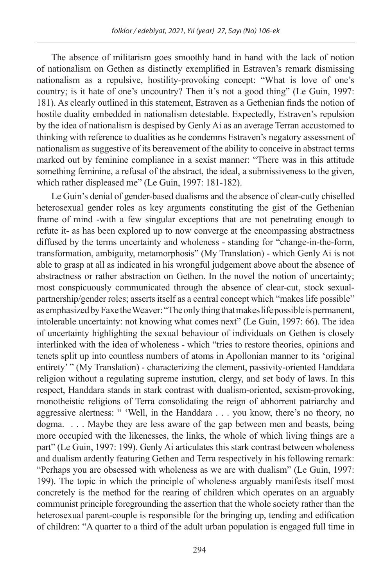The absence of militarism goes smoothly hand in hand with the lack of notion of nationalism on Gethen as distinctly exemplified in Estraven's remark dismissing nationalism as a repulsive, hostility-provoking concept: "What is love of one's country; is it hate of one's uncountry? Then it's not a good thing" (Le Guin, 1997: 181). As clearly outlined in this statement, Estraven as a Gethenian finds the notion of hostile duality embedded in nationalism detestable. Expectedly, Estraven's repulsion by the idea of nationalism is despised by Genly Ai as an average Terran accustomed to thinking with reference to dualities as he condemns Estraven's negatory assessment of nationalism as suggestive of its bereavement of the ability to conceive in abstract terms marked out by feminine compliance in a sexist manner: "There was in this attitude something feminine, a refusal of the abstract, the ideal, a submissiveness to the given, which rather displeased me" (Le Guin, 1997: 181-182).

Le Guin's denial of gender-based dualisms and the absence of clear-cutly chiselled heterosexual gender roles as key arguments constituting the gist of the Gethenian frame of mind -with a few singular exceptions that are not penetrating enough to refute it- as has been explored up to now converge at the encompassing abstractness diffused by the terms uncertainty and wholeness - standing for "change-in-the-form, transformation, ambiguity, metamorphosis" (My Translation) - which Genly Ai is not able to grasp at all as indicated in his wrongful judgement above about the absence of abstractness or rather abstraction on Gethen. In the novel the notion of uncertainty; most conspicuously communicated through the absence of clear-cut, stock sexualpartnership/gender roles; asserts itself as a central concept which "makes life possible" as emphasized by Faxe the Weaver: "The only thing that makes life possible is permanent, intolerable uncertainty: not knowing what comes next" (Le Guin, 1997: 66). The idea of uncertainty highlighting the sexual behaviour of individuals on Gethen is closely interlinked with the idea of wholeness - which "tries to restore theories, opinions and tenets split up into countless numbers of atoms in Apollonian manner to its 'original entirety' " (My Translation) - characterizing the clement, passivity-oriented Handdara religion without a regulating supreme instution, clergy, and set body of laws. In this respect, Handdara stands in stark contrast with dualism-oriented, sexism-provoking, monotheistic religions of Terra consolidating the reign of abhorrent patriarchy and aggressive alertness: " 'Well, in the Handdara . . . you know, there's no theory, no dogma. . . . Maybe they are less aware of the gap between men and beasts, being more occupied with the likenesses, the links, the whole of which living things are a part" (Le Guin, 1997: 199). Genly Ai articulates this stark contrast between wholeness and dualism ardently featuring Gethen and Terra respectively in his following remark: "Perhaps you are obsessed with wholeness as we are with dualism" (Le Guin, 1997: 199). The topic in which the principle of wholeness arguably manifests itself most concretely is the method for the rearing of children which operates on an arguably communist principle foregrounding the assertion that the whole society rather than the heterosexual parent-couple is responsible for the bringing up, tending and edification of children: "A quarter to a third of the adult urban population is engaged full time in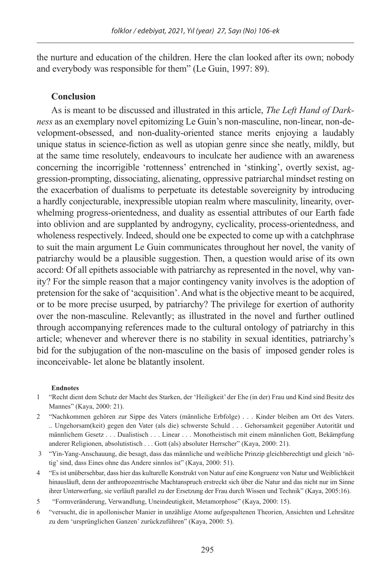the nurture and education of the children. Here the clan looked after its own; nobody and everybody was responsible for them" (Le Guin, 1997: 89).

### **Conclusion**

As is meant to be discussed and illustrated in this article, *The Left Hand of Darkness* as an exemplary novel epitomizing Le Guin's non-masculine, non-linear, non-development-obsessed, and non-duality-oriented stance merits enjoying a laudably unique status in science-fiction as well as utopian genre since she neatly, mildly, but at the same time resolutely, endeavours to inculcate her audience with an awareness concerning the incorrigible 'rottenness' entrenched in 'stinking', overtly sexist, aggression-prompting, dissociating, alienating, oppressive patriarchal mindset resting on the exacerbation of dualisms to perpetuate its detestable sovereignity by introducing a hardly conjecturable, inexpressible utopian realm where masculinity, linearity, overwhelming progress-orientedness, and duality as essential attributes of our Earth fade into oblivion and are supplanted by androgyny, cyclicality, process-orientedness, and wholeness respectively. Indeed, should one be expected to come up with a catchphrase to suit the main argument Le Guin communicates throughout her novel, the vanity of patriarchy would be a plausible suggestion. Then, a question would arise of its own accord: Of all epithets associable with patriarchy as represented in the novel, why vanity? For the simple reason that a major contingency vanity involves is the adoption of pretension for the sake of 'acquisition'. And what is the objective meant to be acquired, or to be more precise usurped, by patriarchy? The privilege for exertion of authority over the non-masculine. Relevantly; as illustrated in the novel and further outlined through accompanying references made to the cultural ontology of patriarchy in this article; whenever and wherever there is no stability in sexual identities, patriarchy's bid for the subjugation of the non-masculine on the basis of imposed gender roles is inconceivable- let alone be blatantly insolent.

#### **Endnotes**

- 1 "Recht dient dem Schutz der Macht des Starken, der 'Heiligkeit' der Ehe (in der) Frau und Kind sind Besitz des Mannes" (Kaya, 2000: 21).
- 2 "Nachkommen gehören zur Sippe des Vaters (männliche Erbfolge) . . . Kinder bleiben am Ort des Vaters. .. Ungehorsam(keit) gegen den Vater (als die) schwerste Schuld . . . Gehorsamkeit gegenüber Autorität und männlichem Gesetz . . . Dualistisch . . . Linear . . . Monotheistisch mit einem männlichen Gott, Bekämpfung anderer Religionen, absolutistisch . . . Gott (als) absoluter Herrscher" (Kaya, 2000: 21).
- 3 "Yin-Yang-Anschauung, die besagt, dass das männliche und weibliche Prinzip gleichberechtigt und gleich 'nötig' sind, dass Eines ohne das Andere sinnlos ist" (Kaya, 2000: 51).
- 4 "Es ist unübersehbar, dass hier das kulturelle Konstrukt von Natur auf eine Kongruenz von Natur und Weiblichkeit hinausläuft, denn der anthropozentrische Machtanspruch erstreckt sich über die Natur and das nicht nur im Sinne ihrer Unterwerfung, sie verläuft parallel zu der Ersetzung der Frau durch Wissen und Technik" (Kaya, 2005:16).
- 5 "Formveränderung, Verwandlung, Uneindeutigkeit, Metamorphose" (Kaya, 2000: 15).
- 6 "versucht, die in apollonischer Manier in unzählige Atome aufgespaltenen Theorien, Ansichten und Lehrsätze zu dem 'ursprünglichen Ganzen' zurückzuführen" (Kaya, 2000: 5).